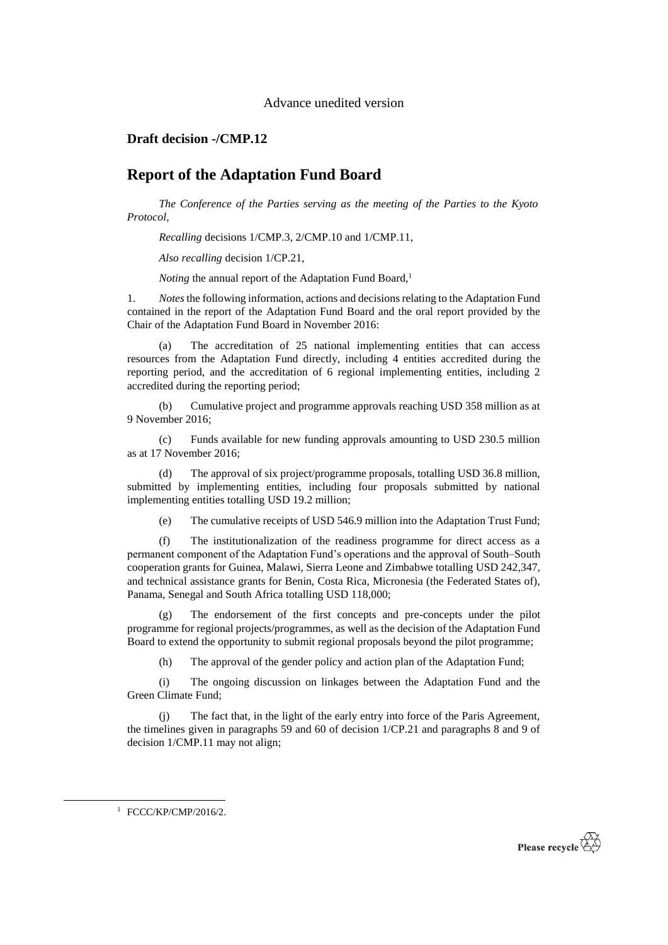## Advance unedited version

## **Draft decision -/CMP.12**

## **Report of the Adaptation Fund Board**

*The Conference of the Parties serving as the meeting of the Parties to the Kyoto Protocol*,

*Recalling* decisions 1/CMP.3, 2/CMP.10 and 1/CMP.11,

*Also recalling* decision 1/CP.21,

*Noting* the annual report of the Adaptation Fund Board,<sup>1</sup>

1. *Notes*the following information, actions and decisions relating to the Adaptation Fund contained in the report of the Adaptation Fund Board and the oral report provided by the Chair of the Adaptation Fund Board in November 2016:

(a) The accreditation of 25 national implementing entities that can access resources from the Adaptation Fund directly, including 4 entities accredited during the reporting period, and the accreditation of 6 regional implementing entities, including 2 accredited during the reporting period;

(b) Cumulative project and programme approvals reaching USD 358 million as at 9 November 2016;

(c) Funds available for new funding approvals amounting to USD 230.5 million as at 17 November 2016;

(d) The approval of six project/programme proposals, totalling USD 36.8 million, submitted by implementing entities, including four proposals submitted by national implementing entities totalling USD 19.2 million;

(e) The cumulative receipts of USD 546.9 million into the Adaptation Trust Fund;

(f) The institutionalization of the readiness programme for direct access as a permanent component of the Adaptation Fund's operations and the approval of South–South cooperation grants for Guinea, Malawi, Sierra Leone and Zimbabwe totalling USD 242,347, and technical assistance grants for Benin, Costa Rica, Micronesia (the Federated States of), Panama, Senegal and South Africa totalling USD 118,000;

The endorsement of the first concepts and pre-concepts under the pilot programme for regional projects/programmes, as well as the decision of the Adaptation Fund Board to extend the opportunity to submit regional proposals beyond the pilot programme;

(h) The approval of the gender policy and action plan of the Adaptation Fund;

(i) The ongoing discussion on linkages between the Adaptation Fund and the Green Climate Fund;

The fact that, in the light of the early entry into force of the Paris Agreement, the timelines given in paragraphs 59 and 60 of decision 1/CP.21 and paragraphs 8 and 9 of decision 1/CMP.11 may not align;

<sup>1</sup> FCCC/KP/CMP/2016/2.

-

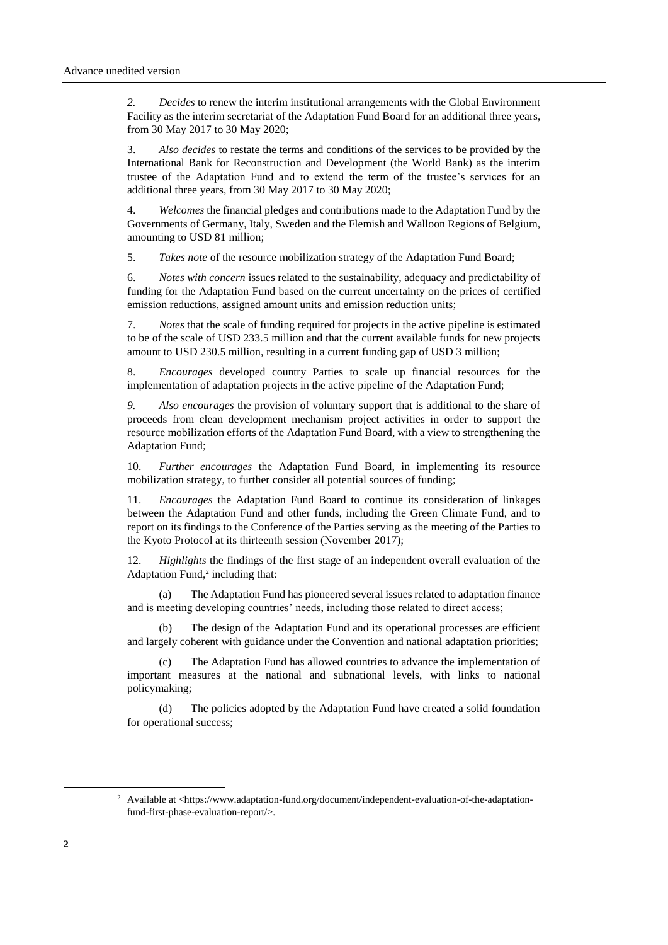*2. Decides* to renew the interim institutional arrangements with the Global Environment Facility as the interim secretariat of the Adaptation Fund Board for an additional three years, from 30 May 2017 to 30 May 2020;

3. *Also decides* to restate the terms and conditions of the services to be provided by the International Bank for Reconstruction and Development (the World Bank) as the interim trustee of the Adaptation Fund and to extend the term of the trustee's services for an additional three years, from 30 May 2017 to 30 May 2020;

4. *Welcomes* the financial pledges and contributions made to the Adaptation Fund by the Governments of Germany, Italy, Sweden and the Flemish and Walloon Regions of Belgium, amounting to USD 81 million;

5. *Takes note* of the resource mobilization strategy of the Adaptation Fund Board;

6. *Notes with concern* issues related to the sustainability, adequacy and predictability of funding for the Adaptation Fund based on the current uncertainty on the prices of certified emission reductions, assigned amount units and emission reduction units;

7. *Notes* that the scale of funding required for projects in the active pipeline is estimated to be of the scale of USD 233.5 million and that the current available funds for new projects amount to USD 230.5 million, resulting in a current funding gap of USD 3 million;

8. *Encourages* developed country Parties to scale up financial resources for the implementation of adaptation projects in the active pipeline of the Adaptation Fund;

*9. Also encourages* the provision of voluntary support that is additional to the share of proceeds from clean development mechanism project activities in order to support the resource mobilization efforts of the Adaptation Fund Board, with a view to strengthening the Adaptation Fund;

10. *Further encourages* the Adaptation Fund Board, in implementing its resource mobilization strategy, to further consider all potential sources of funding;

11. *Encourages* the Adaptation Fund Board to continue its consideration of linkages between the Adaptation Fund and other funds, including the Green Climate Fund, and to report on its findings to the Conference of the Parties serving as the meeting of the Parties to the Kyoto Protocol at its thirteenth session (November 2017);

12. *Highlights* the findings of the first stage of an independent overall evaluation of the Adaptation Fund,<sup>2</sup> including that:

(a) The Adaptation Fund has pioneered several issues related to adaptation finance and is meeting developing countries' needs, including those related to direct access;

(b) The design of the Adaptation Fund and its operational processes are efficient and largely coherent with guidance under the Convention and national adaptation priorities;

(c) The Adaptation Fund has allowed countries to advance the implementation of important measures at the national and subnational levels, with links to national policymaking;

(d) The policies adopted by the Adaptation Fund have created a solid foundation for operational success;

 $\overline{a}$ 

<sup>&</sup>lt;sup>2</sup> Available at <https://www.adaptation-fund.org/document/independent-evaluation-of-the-adaptationfund-first-phase-evaluation-report/>.